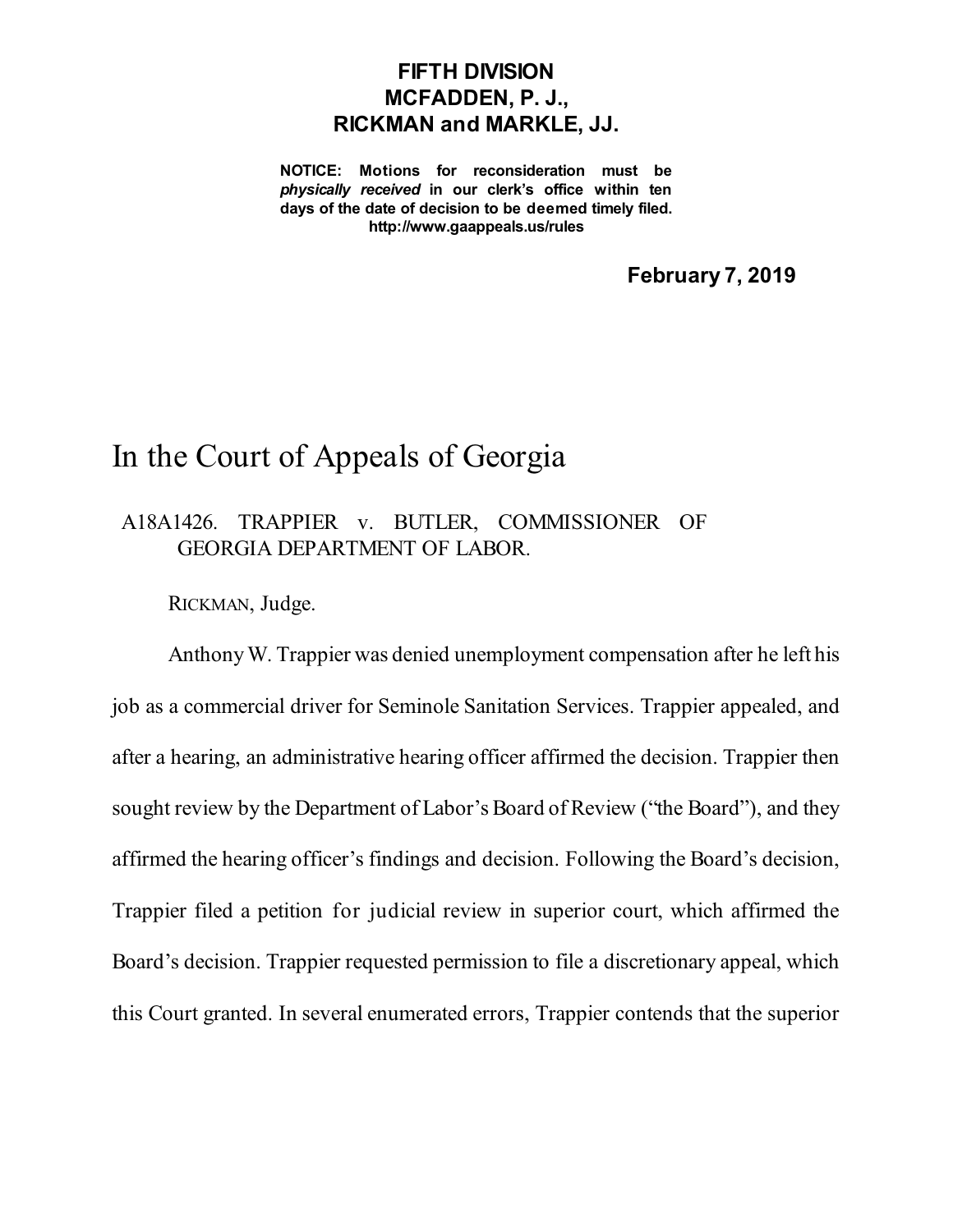## **FIFTH DIVISION MCFADDEN, P. J., RICKMAN and MARKLE, JJ.**

**NOTICE: Motions for reconsideration must be** *physically received* **in our clerk's office within ten days of the date of decision to be deemed timely filed. http://www.gaappeals.us/rules**

**February 7, 2019**

## In the Court of Appeals of Georgia

## A18A1426. TRAPPIER v. BUTLER, COMMISSIONER OF GEORGIA DEPARTMENT OF LABOR.

RICKMAN, Judge.

AnthonyW. Trappier was denied unemployment compensation after he left his job as a commercial driver for Seminole Sanitation Services. Trappier appealed, and after a hearing, an administrative hearing officer affirmed the decision. Trappier then sought review by the Department of Labor's Board of Review ("the Board"), and they affirmed the hearing officer's findings and decision. Following the Board's decision, Trappier filed a petition for judicial review in superior court, which affirmed the Board's decision. Trappier requested permission to file a discretionary appeal, which this Court granted. In several enumerated errors, Trappier contends that the superior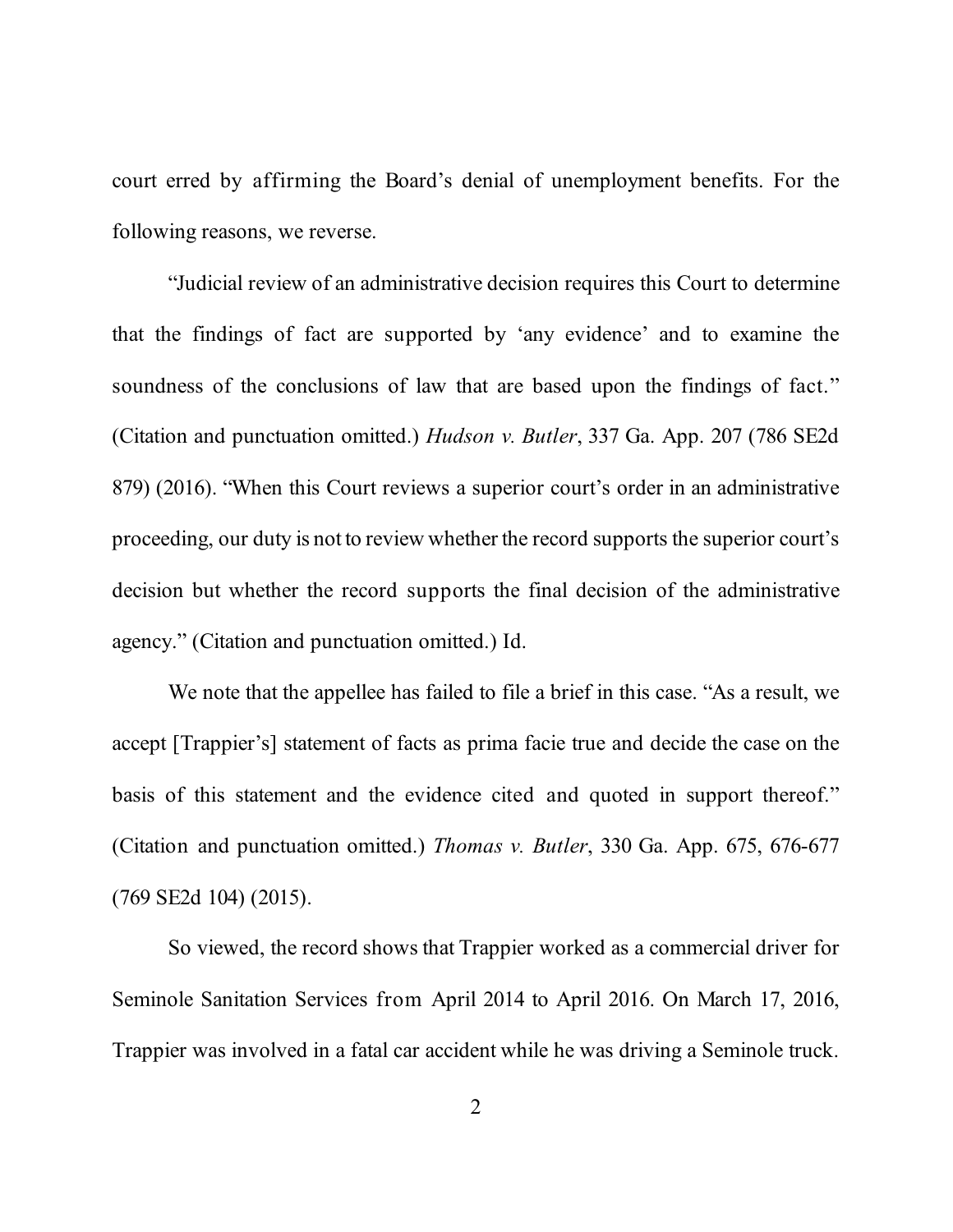court erred by affirming the Board's denial of unemployment benefits. For the following reasons, we reverse.

"Judicial review of an administrative decision requires this Court to determine that the findings of fact are supported by 'any evidence' and to examine the soundness of the conclusions of law that are based upon the findings of fact." (Citation and punctuation omitted.) *Hudson v. Butler*, 337 Ga. App. 207 (786 SE2d 879) (2016). "When this Court reviews a superior court's order in an administrative proceeding, our duty is not to review whether the record supports the superior court's decision but whether the record supports the final decision of the administrative agency." (Citation and punctuation omitted.) Id.

We note that the appellee has failed to file a brief in this case. "As a result, we accept [Trappier's] statement of facts as prima facie true and decide the case on the basis of this statement and the evidence cited and quoted in support thereof." (Citation and punctuation omitted.) *Thomas v. Butler*, 330 Ga. App. 675, 676-677 (769 SE2d 104) (2015).

So viewed, the record shows that Trappier worked as a commercial driver for Seminole Sanitation Services from April 2014 to April 2016. On March 17, 2016, Trappier was involved in a fatal car accident while he was driving a Seminole truck.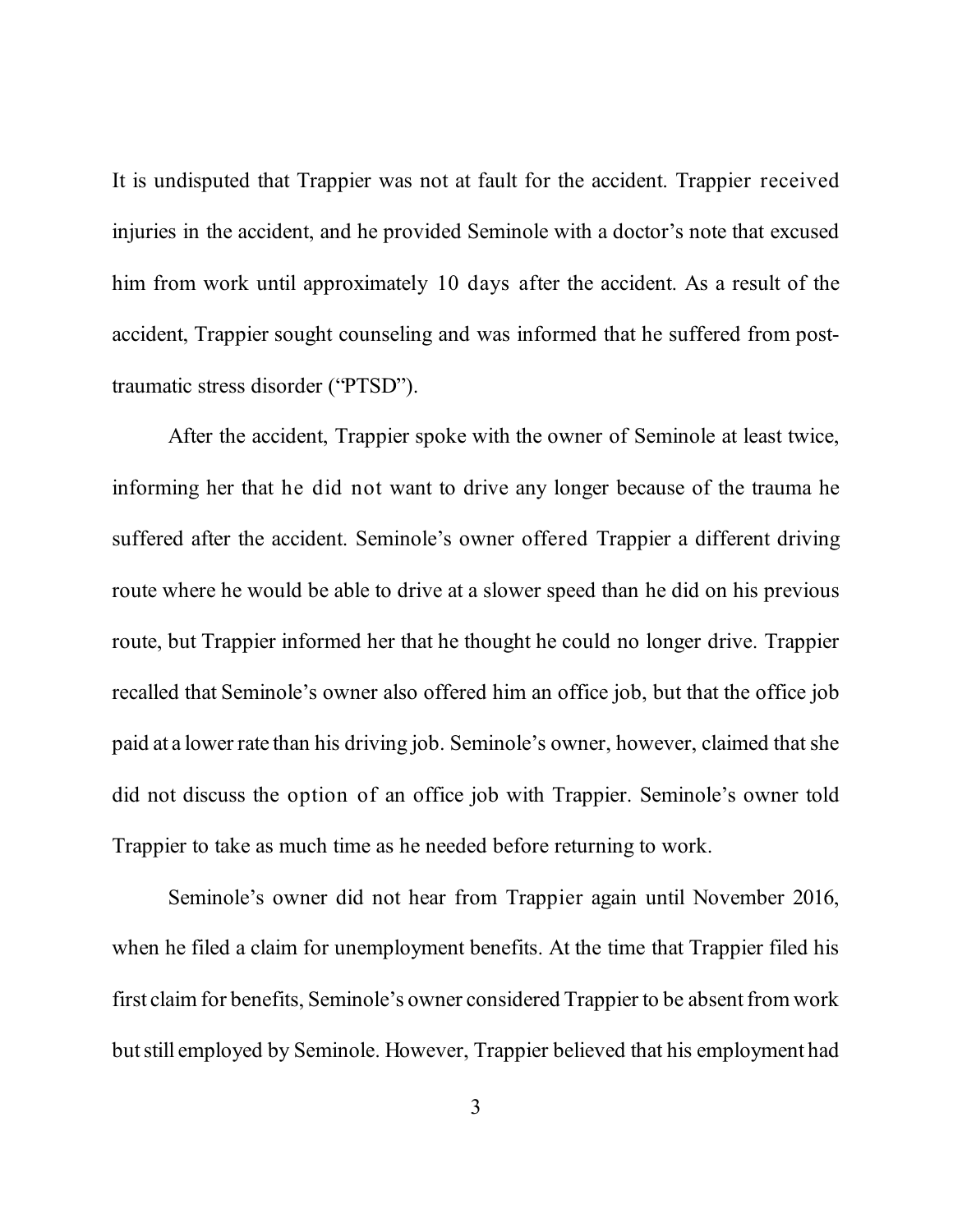It is undisputed that Trappier was not at fault for the accident. Trappier received injuries in the accident, and he provided Seminole with a doctor's note that excused him from work until approximately 10 days after the accident. As a result of the accident, Trappier sought counseling and was informed that he suffered from posttraumatic stress disorder ("PTSD").

After the accident, Trappier spoke with the owner of Seminole at least twice, informing her that he did not want to drive any longer because of the trauma he suffered after the accident. Seminole's owner offered Trappier a different driving route where he would be able to drive at a slower speed than he did on his previous route, but Trappier informed her that he thought he could no longer drive. Trappier recalled that Seminole's owner also offered him an office job, but that the office job paid at a lower rate than his driving job. Seminole's owner, however, claimed thatshe did not discuss the option of an office job with Trappier. Seminole's owner told Trappier to take as much time as he needed before returning to work.

Seminole's owner did not hear from Trappier again until November 2016, when he filed a claim for unemployment benefits. At the time that Trappier filed his first claim for benefits, Seminole's owner considered Trappier to be absent from work butstill employed by Seminole. However, Trappier believed that his employment had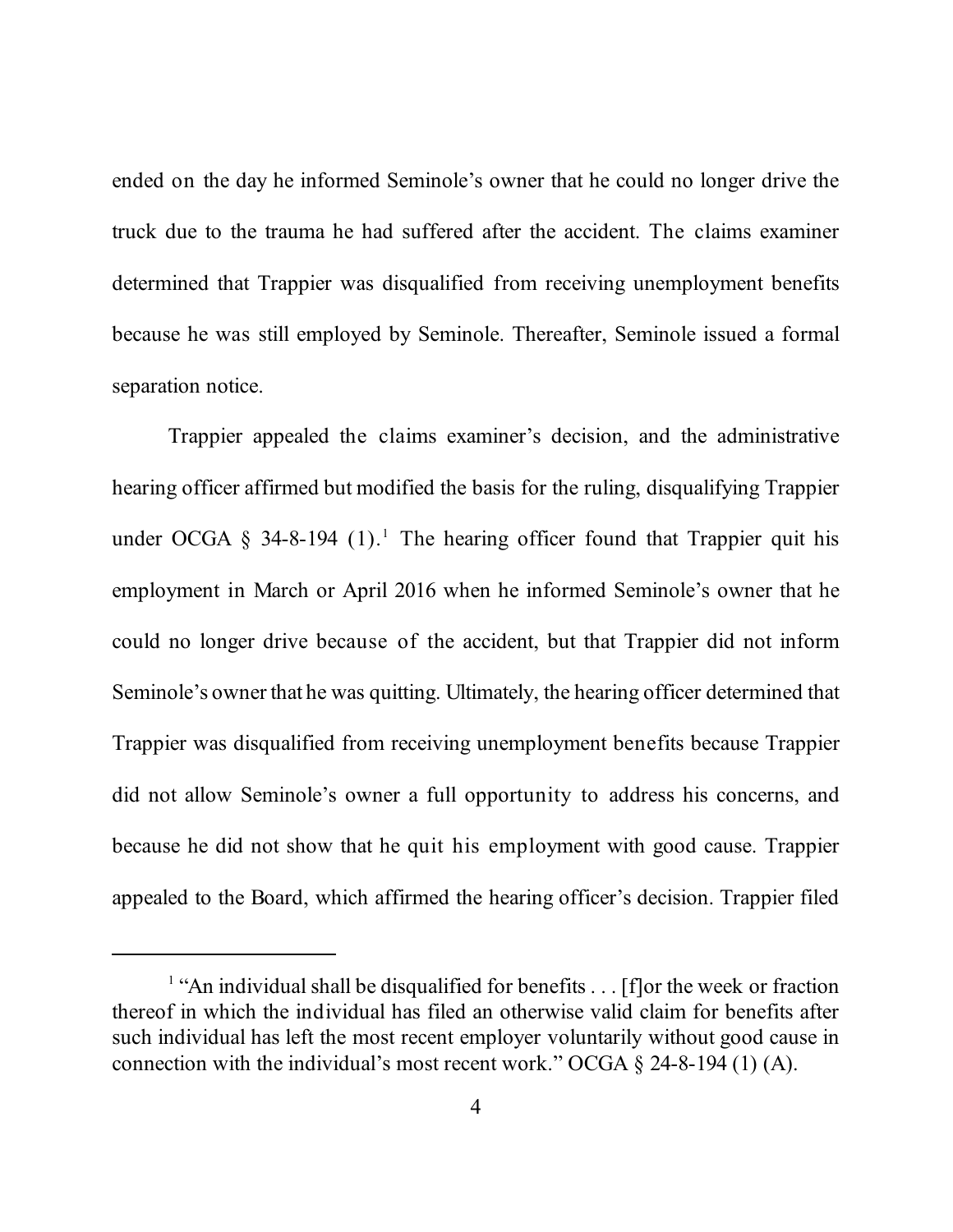ended on the day he informed Seminole's owner that he could no longer drive the truck due to the trauma he had suffered after the accident. The claims examiner determined that Trappier was disqualified from receiving unemployment benefits because he was still employed by Seminole. Thereafter, Seminole issued a formal separation notice.

Trappier appealed the claims examiner's decision, and the administrative hearing officer affirmed but modified the basis for the ruling, disqualifying Trappier under OCGA  $\S$  34-8-194 (1).<sup>1</sup> The hearing officer found that Trappier quit his employment in March or April 2016 when he informed Seminole's owner that he could no longer drive because of the accident, but that Trappier did not inform Seminole's owner that he was quitting. Ultimately, the hearing officer determined that Trappier was disqualified from receiving unemployment benefits because Trappier did not allow Seminole's owner a full opportunity to address his concerns, and because he did not show that he quit his employment with good cause. Trappier appealed to the Board, which affirmed the hearing officer's decision. Trappier filed

<sup>&</sup>lt;sup>1</sup> "An individual shall be disqualified for benefits . . . [f] or the week or fraction thereof in which the individual has filed an otherwise valid claim for benefits after such individual has left the most recent employer voluntarily without good cause in connection with the individual's most recent work." OCGA § 24-8-194 (1) (A).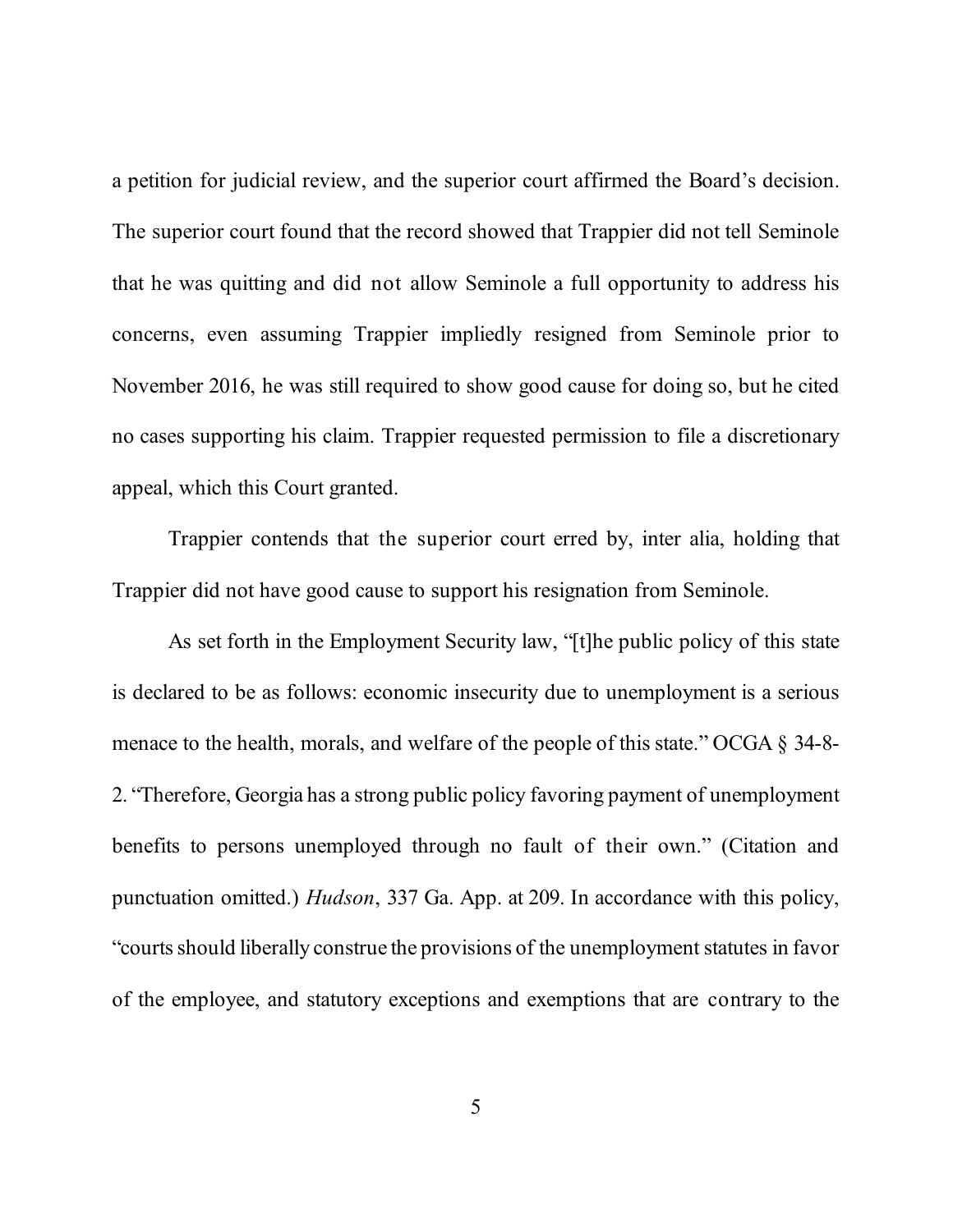a petition for judicial review, and the superior court affirmed the Board's decision. The superior court found that the record showed that Trappier did not tell Seminole that he was quitting and did not allow Seminole a full opportunity to address his concerns, even assuming Trappier impliedly resigned from Seminole prior to November 2016, he was still required to show good cause for doing so, but he cited no cases supporting his claim. Trappier requested permission to file a discretionary appeal, which this Court granted.

Trappier contends that the superior court erred by, inter alia, holding that Trappier did not have good cause to support his resignation from Seminole.

As set forth in the Employment Security law, "[t]he public policy of this state is declared to be as follows: economic insecurity due to unemployment is a serious menace to the health, morals, and welfare of the people of this state." OCGA § 34-8- 2. "Therefore, Georgia has a strong public policy favoring payment of unemployment benefits to persons unemployed through no fault of their own." (Citation and punctuation omitted.) *Hudson*, 337 Ga. App. at 209. In accordance with this policy, "courts should liberally construe the provisions of the unemployment statutes in favor of the employee, and statutory exceptions and exemptions that are contrary to the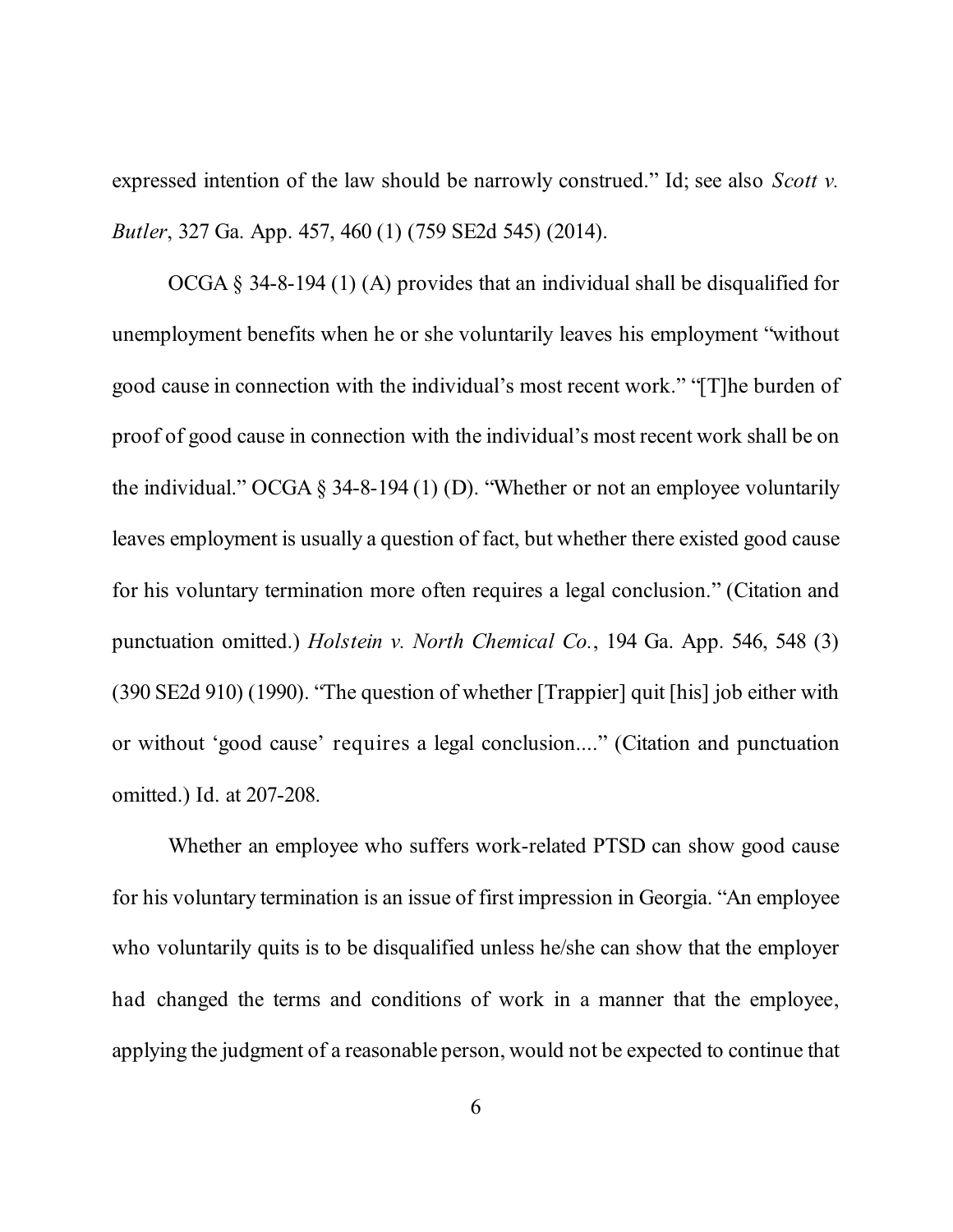expressed intention of the law should be narrowly construed." Id; see also *Scott v. Butler*, 327 Ga. App. 457, 460 (1) (759 SE2d 545) (2014).

OCGA § 34-8-194 (1) (A) provides that an individual shall be disqualified for unemployment benefits when he or she voluntarily leaves his employment "without good cause in connection with the individual's most recent work." "[T]he burden of proof of good cause in connection with the individual's most recent work shall be on the individual." OCGA § 34-8-194 (1) (D). "Whether or not an employee voluntarily leaves employment is usually a question of fact, but whether there existed good cause for his voluntary termination more often requires a legal conclusion." (Citation and punctuation omitted.) *Holstein v. North Chemical Co.*, 194 Ga. App. 546, 548 (3) (390 SE2d 910) (1990). "The question of whether [Trappier] quit [his] job either with or without 'good cause' requires a legal conclusion...." (Citation and punctuation omitted.) Id. at 207-208.

Whether an employee who suffers work-related PTSD can show good cause for his voluntary termination is an issue of first impression in Georgia. "An employee who voluntarily quits is to be disqualified unless he/she can show that the employer had changed the terms and conditions of work in a manner that the employee, applying the judgment of a reasonable person, would not be expected to continue that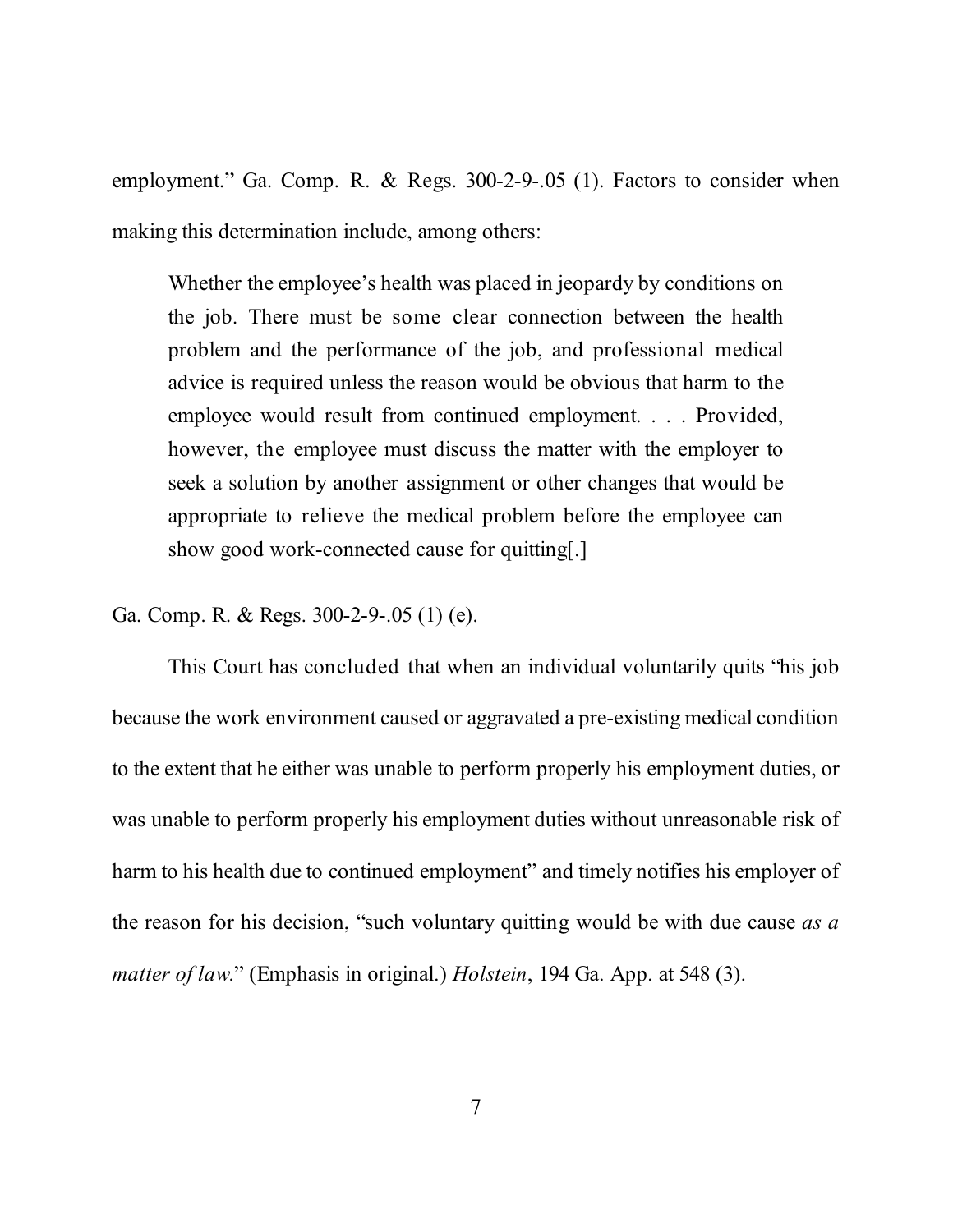employment." Ga. Comp. R. & Regs. 300-2-9-.05 (1). Factors to consider when making this determination include, among others:

Whether the employee's health was placed in jeopardy by conditions on the job. There must be some clear connection between the health problem and the performance of the job, and professional medical advice is required unless the reason would be obvious that harm to the employee would result from continued employment. . . . Provided, however, the employee must discuss the matter with the employer to seek a solution by another assignment or other changes that would be appropriate to relieve the medical problem before the employee can show good work-connected cause for quitting[.]

Ga. Comp. R. & Regs. 300-2-9-.05 (1) (e).

This Court has concluded that when an individual voluntarily quits "his job because the work environment caused or aggravated a pre-existing medical condition to the extent that he either was unable to perform properly his employment duties, or was unable to perform properly his employment duties without unreasonable risk of harm to his health due to continued employment" and timely notifies his employer of the reason for his decision, "such voluntary quitting would be with due cause *as a matter of law*." (Emphasis in original.) *Holstein*, 194 Ga. App. at 548 (3).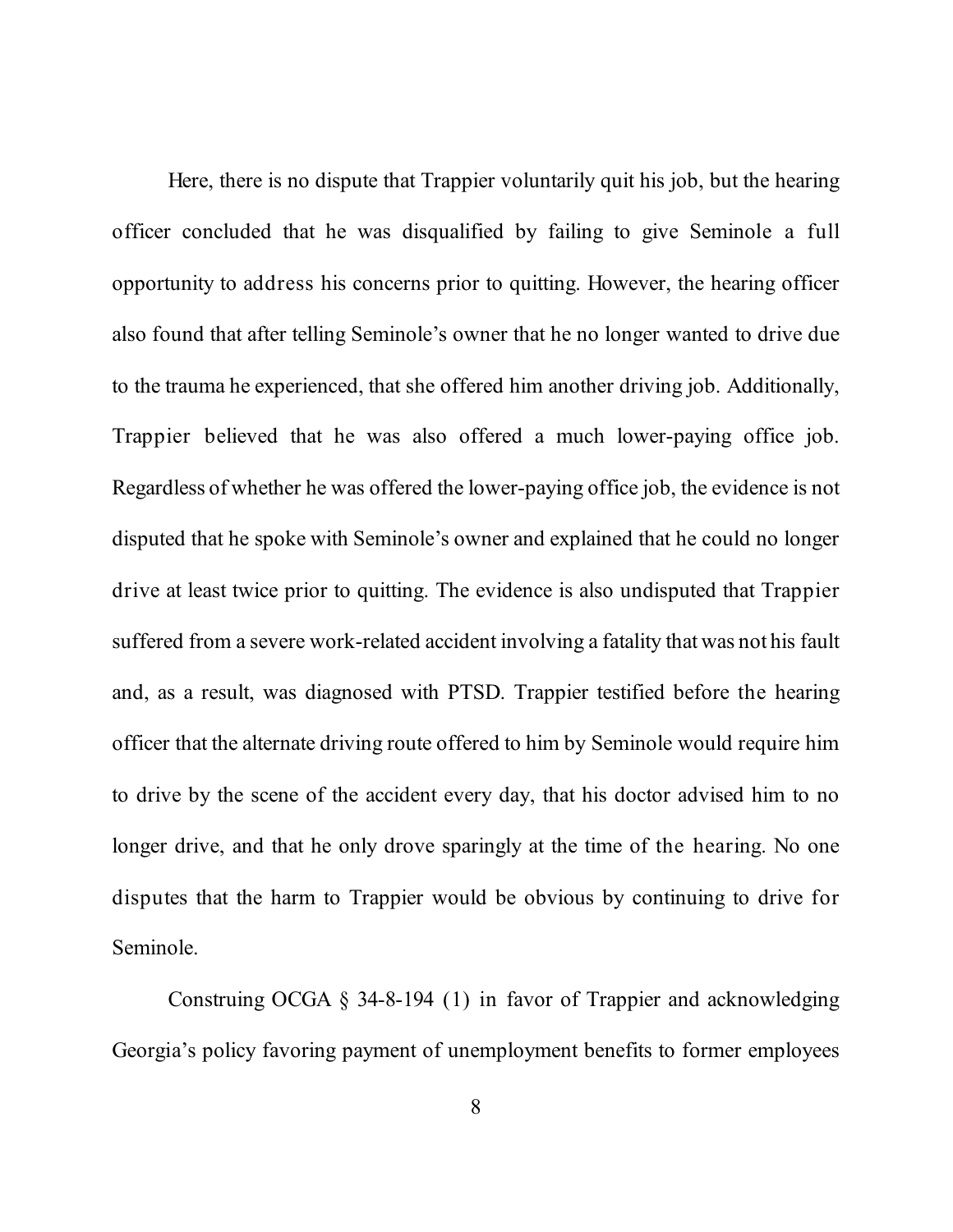Here, there is no dispute that Trappier voluntarily quit his job, but the hearing officer concluded that he was disqualified by failing to give Seminole a full opportunity to address his concerns prior to quitting. However, the hearing officer also found that after telling Seminole's owner that he no longer wanted to drive due to the trauma he experienced, that she offered him another driving job. Additionally, Trappier believed that he was also offered a much lower-paying office job. Regardless of whether he was offered the lower-paying office job, the evidence is not disputed that he spoke with Seminole's owner and explained that he could no longer drive at least twice prior to quitting. The evidence is also undisputed that Trappier suffered from a severe work-related accident involving a fatality that was not his fault and, as a result, was diagnosed with PTSD. Trappier testified before the hearing officer that the alternate driving route offered to him by Seminole would require him to drive by the scene of the accident every day, that his doctor advised him to no longer drive, and that he only drove sparingly at the time of the hearing. No one disputes that the harm to Trappier would be obvious by continuing to drive for Seminole.

Construing OCGA § 34-8-194 (1) in favor of Trappier and acknowledging Georgia's policy favoring payment of unemployment benefits to former employees